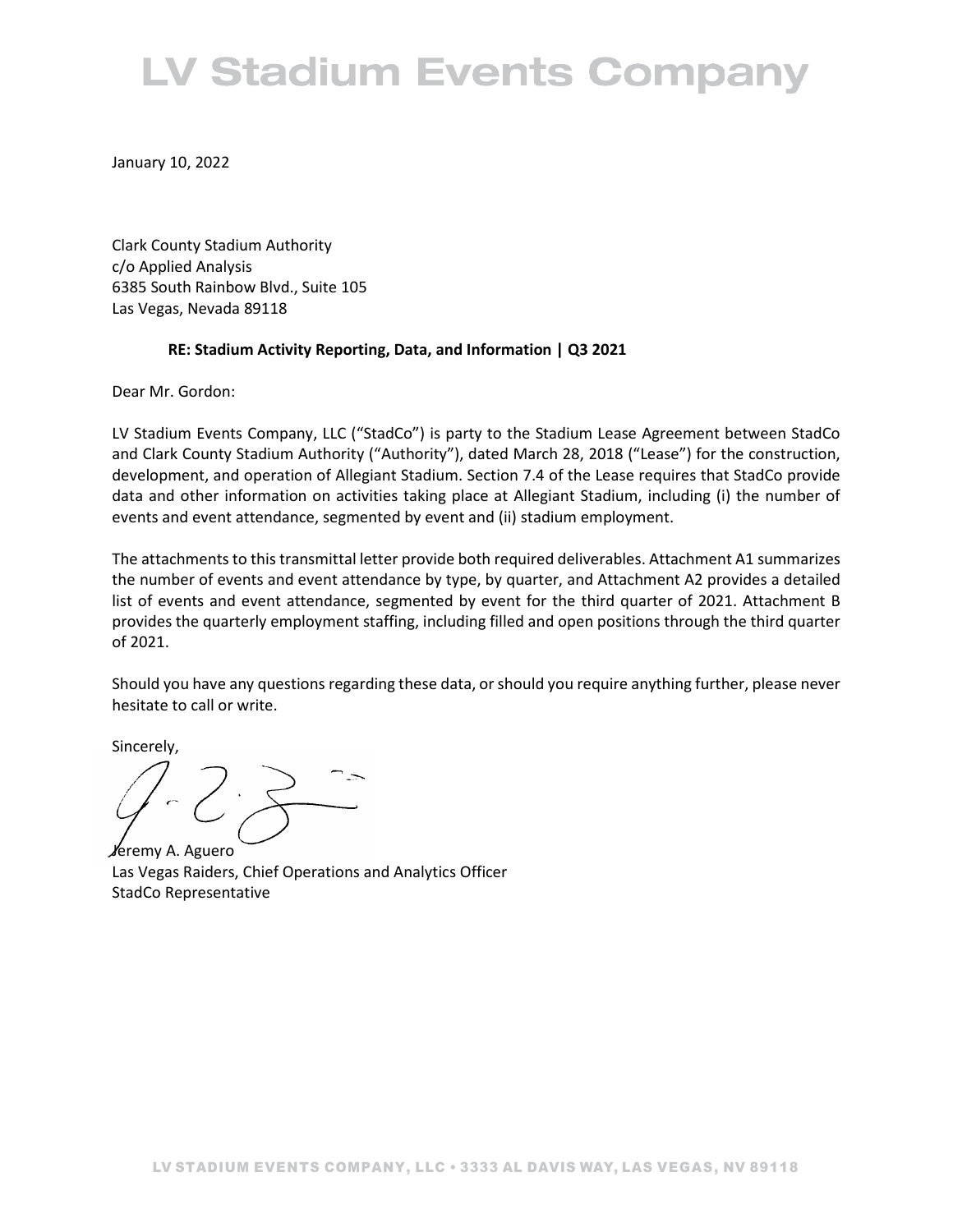# **LV Stadium Events Company**

January 10, 2022

Clark County Stadium Authority c/o Applied Analysis 6385 South Rainbow Blvd., Suite 105 Las Vegas, Nevada 89118

## **RE: Stadium Activity Reporting, Data, and Information | Q3 2021**

Dear Mr. Gordon:

LV Stadium Events Company, LLC ("StadCo") is party to the Stadium Lease Agreement between StadCo and Clark County Stadium Authority ("Authority"), dated March 28, 2018 ("Lease") for the construction, development, and operation of Allegiant Stadium. Section 7.4 of the Lease requires that StadCo provide data and other information on activities taking place at Allegiant Stadium, including (i) the number of events and event attendance, segmented by event and (ii) stadium employment.

The attachments to this transmittal letter provide both required deliverables. Attachment A1 summarizes the number of events and event attendance by type, by quarter, and Attachment A2 provides a detailed list of events and event attendance, segmented by event for the third quarter of 2021. Attachment B provides the quarterly employment staffing, including filled and open positions through the third quarter of 2021.

Should you have any questions regarding these data, or should you require anything further, please never hesitate to call or write.

Sincerely,

Jeremy A. Aguero Las Vegas Raiders, Chief Operations and Analytics Officer StadCo Representative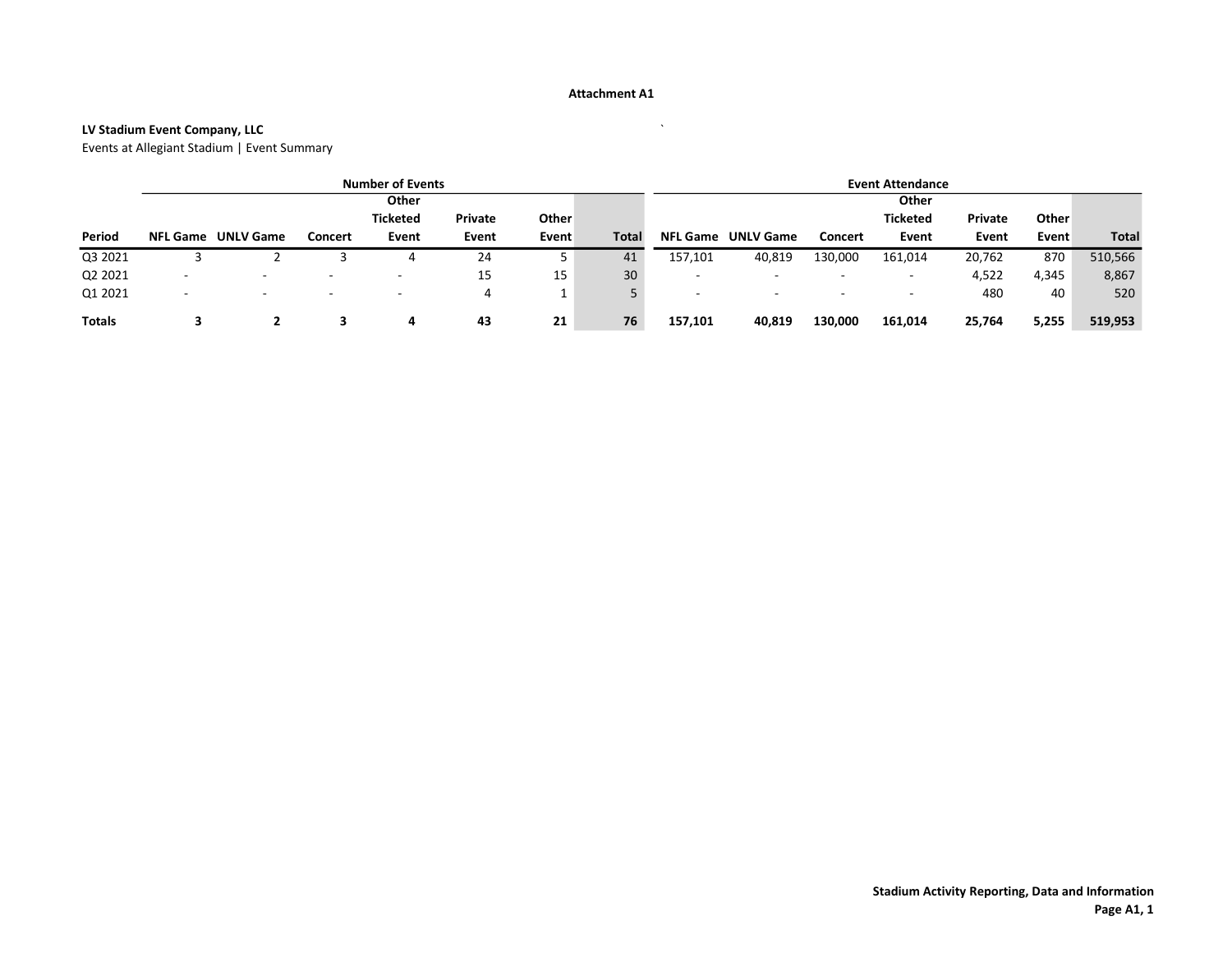#### Attachment A1

## LV Stadium Event Company, LLC `

Events at Allegiant Stadium | Event Summary

|               | <b>Number of Events</b>  |                          |         |                          | <b>Event Attendance</b> |       |              |                          |                  |                          |                          |         |       |              |
|---------------|--------------------------|--------------------------|---------|--------------------------|-------------------------|-------|--------------|--------------------------|------------------|--------------------------|--------------------------|---------|-------|--------------|
|               | Other                    |                          |         |                          |                         | Other |              |                          |                  |                          |                          |         |       |              |
|               |                          |                          |         | <b>Ticketed</b>          | Private                 | Other |              |                          |                  |                          | <b>Ticketed</b>          | Private | Other |              |
| Period        | <b>NFL Game</b>          | <b>UNLV Game</b>         | Concert | Event                    | Event                   | Event | <b>Total</b> | <b>NFL Game</b>          | <b>UNLV Game</b> | Concert                  | Event                    | Event   | Event | <b>Total</b> |
| Q3 2021       |                          |                          |         | 4                        | 24                      |       | 41           | 157,101                  | 40,819           | 130,000                  | 161,014                  | 20,762  | 870   | 510,566      |
| Q2 2021       | $\overline{\phantom{a}}$ | $\overline{\phantom{a}}$ |         | $\overline{\phantom{a}}$ | 15                      | 15    | 30           | $\overline{\phantom{a}}$ |                  | $\overline{\phantom{a}}$ | $\overline{\phantom{a}}$ | 4,522   | 4,345 | 8,867        |
| Q1 2021       | -                        |                          |         | $\overline{\phantom{a}}$ | 4                       |       |              | $\overline{\phantom{0}}$ | -                | $\overline{\phantom{a}}$ | $\overline{\phantom{a}}$ | 480     | 40    | 520          |
| <b>Totals</b> |                          |                          |         | 4                        | 43                      | 21    | 76           | 157,101                  | 40,819           | 130,000                  | 161,014                  | 25,764  | 5,255 | 519,953      |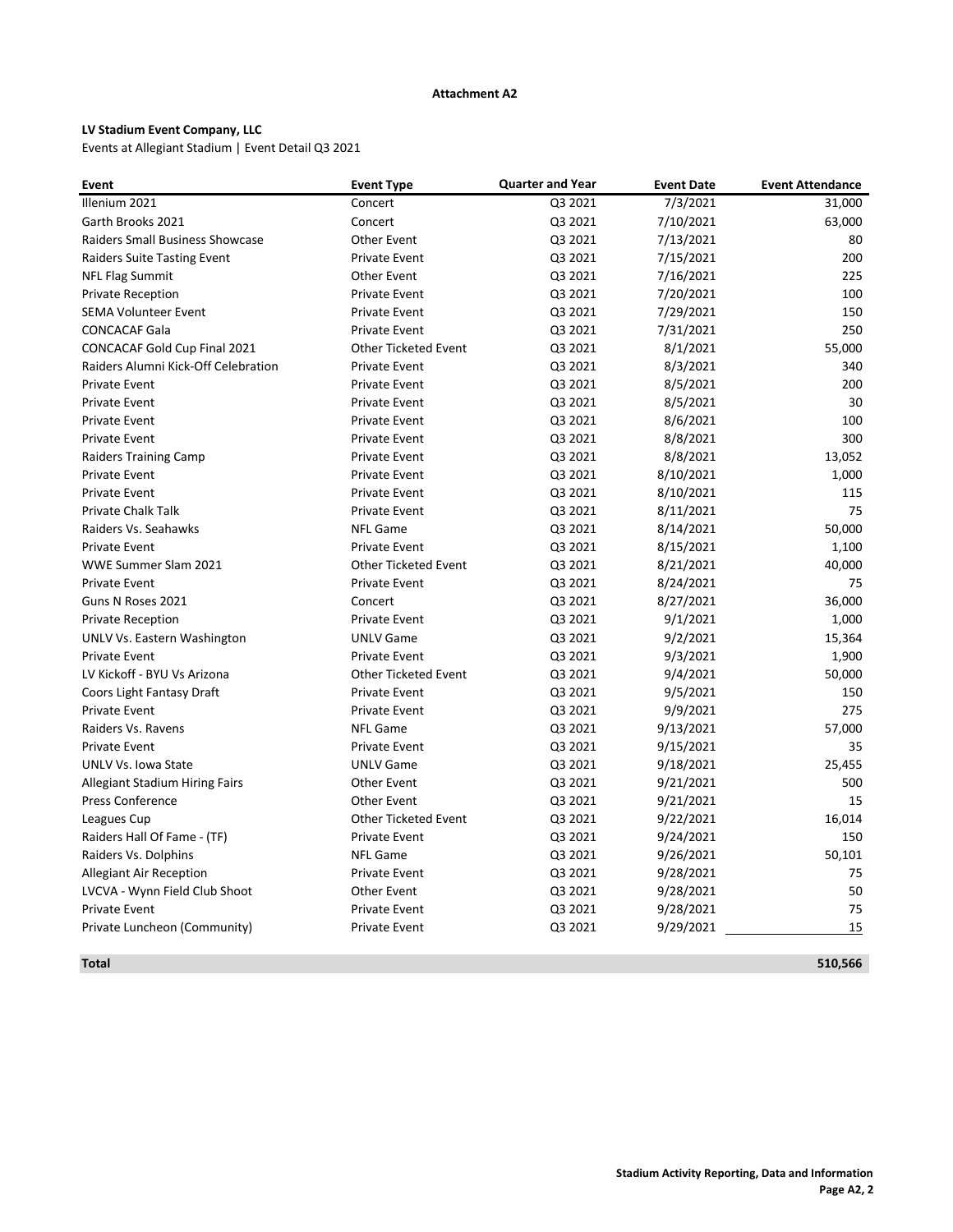#### Attachment A2

## LV Stadium Event Company, LLC

Events at Allegiant Stadium | Event Detail Q3 2021

| Illenium 2021<br>Q3 2021<br>7/3/2021<br>31,000<br>Concert<br>Garth Brooks 2021<br>Q3 2021<br>7/10/2021<br>63,000<br>Concert<br>Raiders Small Business Showcase<br><b>Other Event</b><br>Q3 2021<br>7/13/2021<br>80<br>200<br><b>Raiders Suite Tasting Event</b><br><b>Private Event</b><br>Q3 2021<br>7/15/2021<br>Q3 2021<br>7/16/2021<br>225<br><b>NFL Flag Summit</b><br>Other Event<br>Q3 2021<br>7/20/2021<br>100<br><b>Private Reception</b><br><b>Private Event</b><br>Q3 2021<br>7/29/2021<br>150<br><b>SEMA Volunteer Event</b><br><b>Private Event</b><br><b>CONCACAF Gala</b><br>Q3 2021<br>7/31/2021<br>250<br><b>Private Event</b><br>CONCACAF Gold Cup Final 2021<br>Q3 2021<br>55,000<br><b>Other Ticketed Event</b><br>8/1/2021<br>Raiders Alumni Kick-Off Celebration<br><b>Private Event</b><br>Q3 2021<br>8/3/2021<br>340<br>Q3 2021<br>8/5/2021<br>200<br><b>Private Event</b><br><b>Private Event</b><br>Q3 2021<br>8/5/2021<br>30<br><b>Private Event</b><br><b>Private Event</b><br>8/6/2021<br>100<br><b>Private Event</b><br><b>Private Event</b><br>Q3 2021<br>8/8/2021<br>300<br><b>Private Event</b><br><b>Private Event</b><br>Q3 2021<br><b>Private Event</b><br>Q3 2021<br>8/8/2021<br>13,052<br><b>Raiders Training Camp</b><br>Q3 2021<br>8/10/2021<br>1,000<br><b>Private Event</b><br><b>Private Event</b><br>Q3 2021<br>8/10/2021<br>115<br><b>Private Event</b><br><b>Private Event</b><br>75<br><b>Private Chalk Talk</b><br>Q3 2021<br>8/11/2021<br><b>Private Event</b><br>Raiders Vs. Seahawks<br><b>NFL Game</b><br>Q3 2021<br>8/14/2021<br>50,000<br>8/15/2021<br><b>Private Event</b><br><b>Private Event</b><br>Q3 2021<br>1,100<br>WWE Summer Slam 2021<br>8/21/2021<br>40,000<br><b>Other Ticketed Event</b><br>Q3 2021<br><b>Private Event</b><br><b>Private Event</b><br>Q3 2021<br>8/24/2021<br>75<br>8/27/2021<br>36,000<br>Guns N Roses 2021<br>Concert<br>Q3 2021<br>Q3 2021<br>9/1/2021<br>1,000<br><b>Private Reception</b><br><b>Private Event</b><br><b>UNLV Game</b><br>Q3 2021<br>9/2/2021<br>15,364<br>UNLV Vs. Eastern Washington<br>Q3 2021<br>9/3/2021<br>1,900<br><b>Private Event</b><br><b>Private Event</b><br>LV Kickoff - BYU Vs Arizona<br><b>Other Ticketed Event</b><br>Q3 2021<br>9/4/2021<br>50,000<br>9/5/2021<br>Coors Light Fantasy Draft<br><b>Private Event</b><br>Q3 2021<br>150<br>9/9/2021<br>275<br><b>Private Event</b><br><b>Private Event</b><br>Q3 2021<br>57,000<br>Raiders Vs. Ravens<br><b>NFL Game</b><br>Q3 2021<br>9/13/2021<br><b>Private Event</b><br>Q3 2021<br>9/15/2021<br><b>Private Event</b><br>35 | Event               | <b>Event Type</b> | <b>Quarter and Year</b> | <b>Event Date</b> | <b>Event Attendance</b> |
|---------------------------------------------------------------------------------------------------------------------------------------------------------------------------------------------------------------------------------------------------------------------------------------------------------------------------------------------------------------------------------------------------------------------------------------------------------------------------------------------------------------------------------------------------------------------------------------------------------------------------------------------------------------------------------------------------------------------------------------------------------------------------------------------------------------------------------------------------------------------------------------------------------------------------------------------------------------------------------------------------------------------------------------------------------------------------------------------------------------------------------------------------------------------------------------------------------------------------------------------------------------------------------------------------------------------------------------------------------------------------------------------------------------------------------------------------------------------------------------------------------------------------------------------------------------------------------------------------------------------------------------------------------------------------------------------------------------------------------------------------------------------------------------------------------------------------------------------------------------------------------------------------------------------------------------------------------------------------------------------------------------------------------------------------------------------------------------------------------------------------------------------------------------------------------------------------------------------------------------------------------------------------------------------------------------------------------------------------------------------------------------------------------------------------------------------------------------------------------------------------------------------------------------------------------------------------------------------------------|---------------------|-------------------|-------------------------|-------------------|-------------------------|
|                                                                                                                                                                                                                                                                                                                                                                                                                                                                                                                                                                                                                                                                                                                                                                                                                                                                                                                                                                                                                                                                                                                                                                                                                                                                                                                                                                                                                                                                                                                                                                                                                                                                                                                                                                                                                                                                                                                                                                                                                                                                                                                                                                                                                                                                                                                                                                                                                                                                                                                                                                                                         |                     |                   |                         |                   |                         |
|                                                                                                                                                                                                                                                                                                                                                                                                                                                                                                                                                                                                                                                                                                                                                                                                                                                                                                                                                                                                                                                                                                                                                                                                                                                                                                                                                                                                                                                                                                                                                                                                                                                                                                                                                                                                                                                                                                                                                                                                                                                                                                                                                                                                                                                                                                                                                                                                                                                                                                                                                                                                         |                     |                   |                         |                   |                         |
|                                                                                                                                                                                                                                                                                                                                                                                                                                                                                                                                                                                                                                                                                                                                                                                                                                                                                                                                                                                                                                                                                                                                                                                                                                                                                                                                                                                                                                                                                                                                                                                                                                                                                                                                                                                                                                                                                                                                                                                                                                                                                                                                                                                                                                                                                                                                                                                                                                                                                                                                                                                                         |                     |                   |                         |                   |                         |
|                                                                                                                                                                                                                                                                                                                                                                                                                                                                                                                                                                                                                                                                                                                                                                                                                                                                                                                                                                                                                                                                                                                                                                                                                                                                                                                                                                                                                                                                                                                                                                                                                                                                                                                                                                                                                                                                                                                                                                                                                                                                                                                                                                                                                                                                                                                                                                                                                                                                                                                                                                                                         |                     |                   |                         |                   |                         |
|                                                                                                                                                                                                                                                                                                                                                                                                                                                                                                                                                                                                                                                                                                                                                                                                                                                                                                                                                                                                                                                                                                                                                                                                                                                                                                                                                                                                                                                                                                                                                                                                                                                                                                                                                                                                                                                                                                                                                                                                                                                                                                                                                                                                                                                                                                                                                                                                                                                                                                                                                                                                         |                     |                   |                         |                   |                         |
|                                                                                                                                                                                                                                                                                                                                                                                                                                                                                                                                                                                                                                                                                                                                                                                                                                                                                                                                                                                                                                                                                                                                                                                                                                                                                                                                                                                                                                                                                                                                                                                                                                                                                                                                                                                                                                                                                                                                                                                                                                                                                                                                                                                                                                                                                                                                                                                                                                                                                                                                                                                                         |                     |                   |                         |                   |                         |
|                                                                                                                                                                                                                                                                                                                                                                                                                                                                                                                                                                                                                                                                                                                                                                                                                                                                                                                                                                                                                                                                                                                                                                                                                                                                                                                                                                                                                                                                                                                                                                                                                                                                                                                                                                                                                                                                                                                                                                                                                                                                                                                                                                                                                                                                                                                                                                                                                                                                                                                                                                                                         |                     |                   |                         |                   |                         |
|                                                                                                                                                                                                                                                                                                                                                                                                                                                                                                                                                                                                                                                                                                                                                                                                                                                                                                                                                                                                                                                                                                                                                                                                                                                                                                                                                                                                                                                                                                                                                                                                                                                                                                                                                                                                                                                                                                                                                                                                                                                                                                                                                                                                                                                                                                                                                                                                                                                                                                                                                                                                         |                     |                   |                         |                   |                         |
|                                                                                                                                                                                                                                                                                                                                                                                                                                                                                                                                                                                                                                                                                                                                                                                                                                                                                                                                                                                                                                                                                                                                                                                                                                                                                                                                                                                                                                                                                                                                                                                                                                                                                                                                                                                                                                                                                                                                                                                                                                                                                                                                                                                                                                                                                                                                                                                                                                                                                                                                                                                                         |                     |                   |                         |                   |                         |
|                                                                                                                                                                                                                                                                                                                                                                                                                                                                                                                                                                                                                                                                                                                                                                                                                                                                                                                                                                                                                                                                                                                                                                                                                                                                                                                                                                                                                                                                                                                                                                                                                                                                                                                                                                                                                                                                                                                                                                                                                                                                                                                                                                                                                                                                                                                                                                                                                                                                                                                                                                                                         |                     |                   |                         |                   |                         |
|                                                                                                                                                                                                                                                                                                                                                                                                                                                                                                                                                                                                                                                                                                                                                                                                                                                                                                                                                                                                                                                                                                                                                                                                                                                                                                                                                                                                                                                                                                                                                                                                                                                                                                                                                                                                                                                                                                                                                                                                                                                                                                                                                                                                                                                                                                                                                                                                                                                                                                                                                                                                         |                     |                   |                         |                   |                         |
|                                                                                                                                                                                                                                                                                                                                                                                                                                                                                                                                                                                                                                                                                                                                                                                                                                                                                                                                                                                                                                                                                                                                                                                                                                                                                                                                                                                                                                                                                                                                                                                                                                                                                                                                                                                                                                                                                                                                                                                                                                                                                                                                                                                                                                                                                                                                                                                                                                                                                                                                                                                                         |                     |                   |                         |                   |                         |
|                                                                                                                                                                                                                                                                                                                                                                                                                                                                                                                                                                                                                                                                                                                                                                                                                                                                                                                                                                                                                                                                                                                                                                                                                                                                                                                                                                                                                                                                                                                                                                                                                                                                                                                                                                                                                                                                                                                                                                                                                                                                                                                                                                                                                                                                                                                                                                                                                                                                                                                                                                                                         |                     |                   |                         |                   |                         |
|                                                                                                                                                                                                                                                                                                                                                                                                                                                                                                                                                                                                                                                                                                                                                                                                                                                                                                                                                                                                                                                                                                                                                                                                                                                                                                                                                                                                                                                                                                                                                                                                                                                                                                                                                                                                                                                                                                                                                                                                                                                                                                                                                                                                                                                                                                                                                                                                                                                                                                                                                                                                         |                     |                   |                         |                   |                         |
|                                                                                                                                                                                                                                                                                                                                                                                                                                                                                                                                                                                                                                                                                                                                                                                                                                                                                                                                                                                                                                                                                                                                                                                                                                                                                                                                                                                                                                                                                                                                                                                                                                                                                                                                                                                                                                                                                                                                                                                                                                                                                                                                                                                                                                                                                                                                                                                                                                                                                                                                                                                                         |                     |                   |                         |                   |                         |
|                                                                                                                                                                                                                                                                                                                                                                                                                                                                                                                                                                                                                                                                                                                                                                                                                                                                                                                                                                                                                                                                                                                                                                                                                                                                                                                                                                                                                                                                                                                                                                                                                                                                                                                                                                                                                                                                                                                                                                                                                                                                                                                                                                                                                                                                                                                                                                                                                                                                                                                                                                                                         |                     |                   |                         |                   |                         |
|                                                                                                                                                                                                                                                                                                                                                                                                                                                                                                                                                                                                                                                                                                                                                                                                                                                                                                                                                                                                                                                                                                                                                                                                                                                                                                                                                                                                                                                                                                                                                                                                                                                                                                                                                                                                                                                                                                                                                                                                                                                                                                                                                                                                                                                                                                                                                                                                                                                                                                                                                                                                         |                     |                   |                         |                   |                         |
|                                                                                                                                                                                                                                                                                                                                                                                                                                                                                                                                                                                                                                                                                                                                                                                                                                                                                                                                                                                                                                                                                                                                                                                                                                                                                                                                                                                                                                                                                                                                                                                                                                                                                                                                                                                                                                                                                                                                                                                                                                                                                                                                                                                                                                                                                                                                                                                                                                                                                                                                                                                                         |                     |                   |                         |                   |                         |
|                                                                                                                                                                                                                                                                                                                                                                                                                                                                                                                                                                                                                                                                                                                                                                                                                                                                                                                                                                                                                                                                                                                                                                                                                                                                                                                                                                                                                                                                                                                                                                                                                                                                                                                                                                                                                                                                                                                                                                                                                                                                                                                                                                                                                                                                                                                                                                                                                                                                                                                                                                                                         |                     |                   |                         |                   |                         |
|                                                                                                                                                                                                                                                                                                                                                                                                                                                                                                                                                                                                                                                                                                                                                                                                                                                                                                                                                                                                                                                                                                                                                                                                                                                                                                                                                                                                                                                                                                                                                                                                                                                                                                                                                                                                                                                                                                                                                                                                                                                                                                                                                                                                                                                                                                                                                                                                                                                                                                                                                                                                         |                     |                   |                         |                   |                         |
|                                                                                                                                                                                                                                                                                                                                                                                                                                                                                                                                                                                                                                                                                                                                                                                                                                                                                                                                                                                                                                                                                                                                                                                                                                                                                                                                                                                                                                                                                                                                                                                                                                                                                                                                                                                                                                                                                                                                                                                                                                                                                                                                                                                                                                                                                                                                                                                                                                                                                                                                                                                                         |                     |                   |                         |                   |                         |
|                                                                                                                                                                                                                                                                                                                                                                                                                                                                                                                                                                                                                                                                                                                                                                                                                                                                                                                                                                                                                                                                                                                                                                                                                                                                                                                                                                                                                                                                                                                                                                                                                                                                                                                                                                                                                                                                                                                                                                                                                                                                                                                                                                                                                                                                                                                                                                                                                                                                                                                                                                                                         |                     |                   |                         |                   |                         |
|                                                                                                                                                                                                                                                                                                                                                                                                                                                                                                                                                                                                                                                                                                                                                                                                                                                                                                                                                                                                                                                                                                                                                                                                                                                                                                                                                                                                                                                                                                                                                                                                                                                                                                                                                                                                                                                                                                                                                                                                                                                                                                                                                                                                                                                                                                                                                                                                                                                                                                                                                                                                         |                     |                   |                         |                   |                         |
|                                                                                                                                                                                                                                                                                                                                                                                                                                                                                                                                                                                                                                                                                                                                                                                                                                                                                                                                                                                                                                                                                                                                                                                                                                                                                                                                                                                                                                                                                                                                                                                                                                                                                                                                                                                                                                                                                                                                                                                                                                                                                                                                                                                                                                                                                                                                                                                                                                                                                                                                                                                                         |                     |                   |                         |                   |                         |
|                                                                                                                                                                                                                                                                                                                                                                                                                                                                                                                                                                                                                                                                                                                                                                                                                                                                                                                                                                                                                                                                                                                                                                                                                                                                                                                                                                                                                                                                                                                                                                                                                                                                                                                                                                                                                                                                                                                                                                                                                                                                                                                                                                                                                                                                                                                                                                                                                                                                                                                                                                                                         |                     |                   |                         |                   |                         |
|                                                                                                                                                                                                                                                                                                                                                                                                                                                                                                                                                                                                                                                                                                                                                                                                                                                                                                                                                                                                                                                                                                                                                                                                                                                                                                                                                                                                                                                                                                                                                                                                                                                                                                                                                                                                                                                                                                                                                                                                                                                                                                                                                                                                                                                                                                                                                                                                                                                                                                                                                                                                         |                     |                   |                         |                   |                         |
|                                                                                                                                                                                                                                                                                                                                                                                                                                                                                                                                                                                                                                                                                                                                                                                                                                                                                                                                                                                                                                                                                                                                                                                                                                                                                                                                                                                                                                                                                                                                                                                                                                                                                                                                                                                                                                                                                                                                                                                                                                                                                                                                                                                                                                                                                                                                                                                                                                                                                                                                                                                                         |                     |                   |                         |                   |                         |
|                                                                                                                                                                                                                                                                                                                                                                                                                                                                                                                                                                                                                                                                                                                                                                                                                                                                                                                                                                                                                                                                                                                                                                                                                                                                                                                                                                                                                                                                                                                                                                                                                                                                                                                                                                                                                                                                                                                                                                                                                                                                                                                                                                                                                                                                                                                                                                                                                                                                                                                                                                                                         |                     |                   |                         |                   |                         |
|                                                                                                                                                                                                                                                                                                                                                                                                                                                                                                                                                                                                                                                                                                                                                                                                                                                                                                                                                                                                                                                                                                                                                                                                                                                                                                                                                                                                                                                                                                                                                                                                                                                                                                                                                                                                                                                                                                                                                                                                                                                                                                                                                                                                                                                                                                                                                                                                                                                                                                                                                                                                         |                     |                   |                         |                   |                         |
|                                                                                                                                                                                                                                                                                                                                                                                                                                                                                                                                                                                                                                                                                                                                                                                                                                                                                                                                                                                                                                                                                                                                                                                                                                                                                                                                                                                                                                                                                                                                                                                                                                                                                                                                                                                                                                                                                                                                                                                                                                                                                                                                                                                                                                                                                                                                                                                                                                                                                                                                                                                                         |                     |                   |                         |                   |                         |
|                                                                                                                                                                                                                                                                                                                                                                                                                                                                                                                                                                                                                                                                                                                                                                                                                                                                                                                                                                                                                                                                                                                                                                                                                                                                                                                                                                                                                                                                                                                                                                                                                                                                                                                                                                                                                                                                                                                                                                                                                                                                                                                                                                                                                                                                                                                                                                                                                                                                                                                                                                                                         |                     |                   |                         |                   |                         |
|                                                                                                                                                                                                                                                                                                                                                                                                                                                                                                                                                                                                                                                                                                                                                                                                                                                                                                                                                                                                                                                                                                                                                                                                                                                                                                                                                                                                                                                                                                                                                                                                                                                                                                                                                                                                                                                                                                                                                                                                                                                                                                                                                                                                                                                                                                                                                                                                                                                                                                                                                                                                         | UNLV Vs. Iowa State | <b>UNLV Game</b>  | Q3 2021                 | 9/18/2021         | 25,455                  |
| Other Event<br>Q3 2021<br>9/21/2021<br>500<br><b>Allegiant Stadium Hiring Fairs</b>                                                                                                                                                                                                                                                                                                                                                                                                                                                                                                                                                                                                                                                                                                                                                                                                                                                                                                                                                                                                                                                                                                                                                                                                                                                                                                                                                                                                                                                                                                                                                                                                                                                                                                                                                                                                                                                                                                                                                                                                                                                                                                                                                                                                                                                                                                                                                                                                                                                                                                                     |                     |                   |                         |                   |                         |
| Q3 2021<br>9/21/2021<br>15<br>Press Conference<br>Other Event                                                                                                                                                                                                                                                                                                                                                                                                                                                                                                                                                                                                                                                                                                                                                                                                                                                                                                                                                                                                                                                                                                                                                                                                                                                                                                                                                                                                                                                                                                                                                                                                                                                                                                                                                                                                                                                                                                                                                                                                                                                                                                                                                                                                                                                                                                                                                                                                                                                                                                                                           |                     |                   |                         |                   |                         |
| <b>Other Ticketed Event</b><br>Q3 2021<br>9/22/2021<br>16,014<br>Leagues Cup                                                                                                                                                                                                                                                                                                                                                                                                                                                                                                                                                                                                                                                                                                                                                                                                                                                                                                                                                                                                                                                                                                                                                                                                                                                                                                                                                                                                                                                                                                                                                                                                                                                                                                                                                                                                                                                                                                                                                                                                                                                                                                                                                                                                                                                                                                                                                                                                                                                                                                                            |                     |                   |                         |                   |                         |
| Raiders Hall Of Fame - (TF)<br>Q3 2021<br>9/24/2021<br>150<br><b>Private Event</b>                                                                                                                                                                                                                                                                                                                                                                                                                                                                                                                                                                                                                                                                                                                                                                                                                                                                                                                                                                                                                                                                                                                                                                                                                                                                                                                                                                                                                                                                                                                                                                                                                                                                                                                                                                                                                                                                                                                                                                                                                                                                                                                                                                                                                                                                                                                                                                                                                                                                                                                      |                     |                   |                         |                   |                         |
| Q3 2021<br>9/26/2021<br>50,101<br>Raiders Vs. Dolphins<br><b>NFL Game</b>                                                                                                                                                                                                                                                                                                                                                                                                                                                                                                                                                                                                                                                                                                                                                                                                                                                                                                                                                                                                                                                                                                                                                                                                                                                                                                                                                                                                                                                                                                                                                                                                                                                                                                                                                                                                                                                                                                                                                                                                                                                                                                                                                                                                                                                                                                                                                                                                                                                                                                                               |                     |                   |                         |                   |                         |
| 9/28/2021<br>75<br>Allegiant Air Reception<br><b>Private Event</b><br>Q3 2021                                                                                                                                                                                                                                                                                                                                                                                                                                                                                                                                                                                                                                                                                                                                                                                                                                                                                                                                                                                                                                                                                                                                                                                                                                                                                                                                                                                                                                                                                                                                                                                                                                                                                                                                                                                                                                                                                                                                                                                                                                                                                                                                                                                                                                                                                                                                                                                                                                                                                                                           |                     |                   |                         |                   |                         |
| Q3 2021<br>9/28/2021<br>50<br>LVCVA - Wynn Field Club Shoot<br>Other Event                                                                                                                                                                                                                                                                                                                                                                                                                                                                                                                                                                                                                                                                                                                                                                                                                                                                                                                                                                                                                                                                                                                                                                                                                                                                                                                                                                                                                                                                                                                                                                                                                                                                                                                                                                                                                                                                                                                                                                                                                                                                                                                                                                                                                                                                                                                                                                                                                                                                                                                              |                     |                   |                         |                   |                         |
| 9/28/2021<br>75<br><b>Private Event</b><br><b>Private Event</b><br>Q3 2021                                                                                                                                                                                                                                                                                                                                                                                                                                                                                                                                                                                                                                                                                                                                                                                                                                                                                                                                                                                                                                                                                                                                                                                                                                                                                                                                                                                                                                                                                                                                                                                                                                                                                                                                                                                                                                                                                                                                                                                                                                                                                                                                                                                                                                                                                                                                                                                                                                                                                                                              |                     |                   |                         |                   |                         |
| 9/29/2021<br>15<br>Private Luncheon (Community)<br><b>Private Event</b><br>Q3 2021                                                                                                                                                                                                                                                                                                                                                                                                                                                                                                                                                                                                                                                                                                                                                                                                                                                                                                                                                                                                                                                                                                                                                                                                                                                                                                                                                                                                                                                                                                                                                                                                                                                                                                                                                                                                                                                                                                                                                                                                                                                                                                                                                                                                                                                                                                                                                                                                                                                                                                                      |                     |                   |                         |                   |                         |

Total 510,566